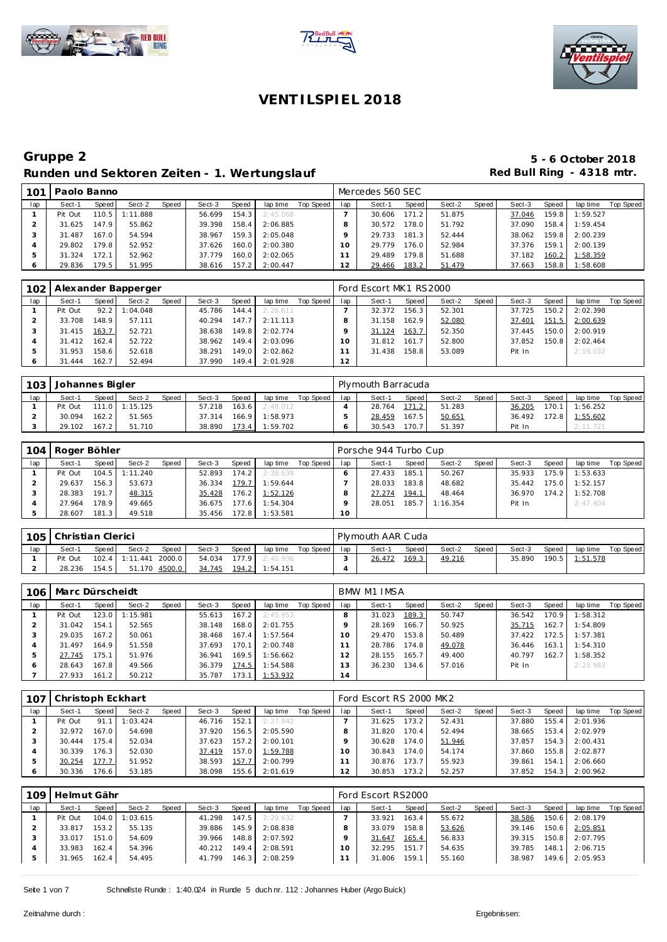





| 101 | Paolo Banno |       |          |       |        |       |          |           |     | Mercedes 560 SEC |       |        |       |        |       |          |           |
|-----|-------------|-------|----------|-------|--------|-------|----------|-----------|-----|------------------|-------|--------|-------|--------|-------|----------|-----------|
| lap | Sect-1      | Speed | Sect-2   | Speed | Sect-3 | Speed | lap time | Top Speed | lap | Sect-1           | Speed | Sect-2 | Speed | Sect-3 | Speed | lap time | Top Speed |
|     | Pit Out     | 110.5 | 1:11.888 |       | 56.699 | 154.3 | 2:45.068 |           |     | 30.606           | 171.2 | 51.875 |       | 37.046 | 159.8 | 1:59.527 |           |
|     | 31.625      | 147.9 | 55.862   |       | 39.398 | 158.4 | 2:06.885 |           |     | 30.572           | 178.0 | 51.792 |       | 37.090 | 158.4 | 1:59.454 |           |
|     | 31.487      | 167.0 | 54.594   |       | 38.967 | 159.3 | 2:05.048 |           |     | 29.733           | 181.3 | 52.444 |       | 38.062 | 159.8 | 2:00.239 |           |
|     | 29.802      | 179.8 | 52.952   |       | 37.626 | 160.0 | 2:00.380 |           |     | 29.779           | 176.0 | 52.984 |       | 37.376 | 159.1 | 2:00.139 |           |
|     | 31.324      | 172.1 | 52.962   |       | 37.779 | 160.0 | 2:02.065 |           |     | 29.489           | 179.8 | 51.688 |       | 37.182 | 160.2 | 1:58.359 |           |
|     | 29.836      | 179.5 | 51.995   |       | 38.616 | 157.2 | 2:00.447 |           | 2   | 29.466           | 183.2 | 51.479 |       | 37.663 | 158.8 | 1:58.608 |           |

| 102 |         |       | Alexander Bapperger |       |        |       |          |           |     | Ford Escort MK1 RS2000 |       |        |         |        |       |          |           |
|-----|---------|-------|---------------------|-------|--------|-------|----------|-----------|-----|------------------------|-------|--------|---------|--------|-------|----------|-----------|
| lap | Sect-1  | Speed | Sect-2              | Speed | Sect-3 | Speed | lap time | Top Speed | lap | Sect-1                 | Speed | Sect-2 | Speed I | Sect-3 | Speed | lap time | Top Speed |
|     | Pit Out | 92.2  | :04.048             |       | 45.786 | 144.4 | 2:26.611 |           |     | 32.372                 | 156.3 | 52.301 |         | 37.725 | 150.2 | 2:02.398 |           |
|     | 33.708  | 148.9 | 57.111              |       | 40.294 | 147.7 | 2:11.113 |           |     | 31.158                 | 162.9 | 52.080 |         | 37.401 | 151.5 | 2:00.639 |           |
|     | 31.415  | 163.7 | 52.721              |       | 38.638 | 149.8 | 2:02.774 |           |     | 31.124                 | 163.7 | 52.350 |         | 37.445 | 150.0 | 2:00.919 |           |
|     | 31.412  | 162.4 | 52.722              |       | 38.962 | 149.4 | 2:03.096 |           |     | 31.812                 | 161.7 | 52.800 |         | 37.852 | 150.8 | 2:02.464 |           |
|     | 31.953  | 158.6 | 52.618              |       | 38.291 | 149.0 | 2:02.862 |           |     | 31.438                 | 158.8 | 53.089 |         | Pit In |       | 2:19.032 |           |
|     | 31.444  | 162.7 | 52.494              |       | 37.990 | 149.4 | 2:01.928 |           | 12  |                        |       |        |         |        |       |          |           |

| 103 |        | Johannes Bigler<br>Speed<br><b>Speed</b><br>Sect-3<br>Sect-2<br>Speed  <br>Sect-1<br>163.6<br>111.0 1:15.125<br>Pit Out<br>57.218 |        |  |        |       |          |           |     | Plymouth Barracuda |       |        |       |        |       |          |           |
|-----|--------|-----------------------------------------------------------------------------------------------------------------------------------|--------|--|--------|-------|----------|-----------|-----|--------------------|-------|--------|-------|--------|-------|----------|-----------|
| lap |        |                                                                                                                                   |        |  |        |       | lap time | Top Speed | lap | Sect-1             | Speed | Sect-2 | Speed | Sect-3 | Speed | lap time | Top Speed |
|     |        |                                                                                                                                   |        |  |        |       | 2:48.012 |           |     | 28.764             | 171.2 | 51.283 |       | 36.205 | 170.1 | 1:56.252 |           |
|     | 30.094 | 162.2                                                                                                                             | 51.565 |  | 37.314 | 166.9 | 1:58.973 |           |     | 28.459             | 167.5 | 50.651 |       | 36.492 | 172.8 | 1:55.602 |           |
|     | 29.102 | 167.2                                                                                                                             | 51.710 |  | 38.890 | 173.4 | 1:59.702 |           |     | 30.543             | 70    | 51.397 |       | Pit In |       | 2:11.721 |           |

| 104 | Roger Böhler |       |          |       |        |       |          |           |     | Porsche 944 Turbo Cup |       |          |       |        |       |          |           |
|-----|--------------|-------|----------|-------|--------|-------|----------|-----------|-----|-----------------------|-------|----------|-------|--------|-------|----------|-----------|
| lap | Sect-1       | Speed | Sect-2   | Speed | Sect-3 | Speed | lap time | Top Speed | lap | Sect-1                | Speed | Sect-2   | Speed | Sect-3 | Speed | lap time | Top Speed |
|     | Pit Out      | 104.5 | 1:11.240 |       | 52.893 | 174.2 | 2:38.638 |           |     | 27.433                | 185.1 | 50.267   |       | 35.933 | 175.9 | 1:53.633 |           |
|     | 29.637       | 156.3 | 53.673   |       | 36.334 | 179.7 | 1:59.644 |           |     | 28.033                | 183.8 | 48.682   |       | 35.442 | 175.0 | 1:52.157 |           |
|     | 28.383       | 191.7 | 48.315   |       | 35.428 | 176.2 | 1:52.126 |           |     | 27.274                | 194.1 | 48.464   |       | 36.970 | 174.2 | 1:52.708 |           |
|     | 27.964       | 178.9 | 49.665   |       | 36.675 | 177.6 | 1:54.304 |           |     | 28.051                | 185.7 | 1:16.354 |       | Pit In |       | 2:47.404 |           |
|     | 28.607       | 181.3 | 49.518   |       | 35.456 | 172.8 | 1:53.581 |           | 10  |                       |       |          |       |        |       |          |           |

| 105 <sup>°</sup> | Christian Clerici |       |                  |               |        |       |          |           |     | Plymouth AAR Cuda |       |        |       |        |       |          |           |
|------------------|-------------------|-------|------------------|---------------|--------|-------|----------|-----------|-----|-------------------|-------|--------|-------|--------|-------|----------|-----------|
| lap              | Sect-1            | Speed | Sect-2           | <b>Speed</b>  | Sect-3 | Speed | lap time | Top Speed | lap | Sect-1            | Speed | Sect-2 | Speed | Sect-3 | Speed | lap time | Top Speed |
|                  | Pit Out           |       | $102.4$ 1:11.441 | 2000.0        | 54.034 | 177.9 | 2:40.936 |           |     | 26.472            | 169.3 | 49.216 |       | 35.890 | 190.5 | 1:51.578 |           |
|                  | 28.236            | 154.5 |                  | 51.170 4500.0 | 34.745 | 194.2 | 1:54.151 |           |     |                   |       |        |       |        |       |          |           |

| 106 | Marc Dürscheidt |       |          |       |        |       |          |           |     | <b>BMW M1 IMSA</b> |       |        |       |        |       |          |           |
|-----|-----------------|-------|----------|-------|--------|-------|----------|-----------|-----|--------------------|-------|--------|-------|--------|-------|----------|-----------|
| lap | Sect-1          | Speed | Sect-2   | Speed | Sect-3 | Speed | lap time | Top Speed | lap | Sect-1             | Speed | Sect-2 | Speed | Sect-3 | Speed | lap time | Top Speed |
|     | Pit Out         | 123.0 | 1:15.981 |       | 55.613 | 167.2 | 2:45.953 |           | 8   | 31.023             | 189.3 | 50.747 |       | 36.542 | 170.9 | 1:58.312 |           |
|     | 31.042          | 154.1 | 52.565   |       | 38.148 | 168.0 | 2:01.755 |           |     | 28.169             | 166.7 | 50.925 |       | 35.715 | 162.7 | 1:54.809 |           |
|     | 29.035          | 167.2 | 50.061   |       | 38.468 | 167.4 | 1:57.564 |           | 10  | 29.470             | 153.8 | 50.489 |       | 37.422 | 172.5 | 1:57.381 |           |
| 4   | 31.497          | 164.9 | 51.558   |       | 37.693 | 170.1 | 2:00.748 |           |     | 28.786             | 174.8 | 49.078 |       | 36.446 | 163.1 | 1:54.310 |           |
|     | 27.745          | 175.1 | 51.976   |       | 36.941 | 169.5 | 1:56.662 |           | 12  | 28.155             | 165.7 | 49.400 |       | 40.797 | 162.7 | 1:58.352 |           |
| 6   | 28.643          | 167.8 | 49.566   |       | 36.379 | 174.5 | 1:54.588 |           | 13  | 36.230             | 134.6 | 57.016 |       | Pit In |       | 2:23.983 |           |
|     | 27.933          | 161.2 | 50.212   |       | 35.787 | 173.1 | 1:53.932 |           | 14  |                    |       |        |       |        |       |          |           |

| 107 | Christoph Eckhart |       |          |       |        |       |          |           |     | Ford Escort RS 2000 MK2 |       |        |       |        |       |          |           |
|-----|-------------------|-------|----------|-------|--------|-------|----------|-----------|-----|-------------------------|-------|--------|-------|--------|-------|----------|-----------|
| lap | Sect-1            | Speed | Sect-2   | Speed | Sect-3 | Speed | lap time | Top Speed | lap | Sect-1                  | Speed | Sect-2 | Speed | Sect-3 | Speed | lap time | Top Speed |
|     | Pit Out           | 91.1  | 1:03.424 |       | 46.716 | 152.1 | 2:27.942 |           |     | 31.625                  | 173.2 | 52.431 |       | 37.880 | 155.4 | 2:01.936 |           |
|     | 32.972            | 167.0 | 54.698   |       | 37.920 | 156.5 | 2:05.590 |           |     | 31.820                  | 170.4 | 52.494 |       | 38.665 | 153.4 | 2:02.979 |           |
|     | 30.444            | 175.4 | 52.034   |       | 37.623 | 157.2 | 2:00.101 |           |     | 30.628                  | 174.0 | 51.946 |       | 37.857 | 154.3 | 2:00.431 |           |
|     | 30.339            | 176.3 | 52.030   |       | 37.419 | 157.0 | 1:59.788 |           |     | 30.843                  | 174.0 | 54.174 |       | 37.860 | 155.8 | 2:02.877 |           |
|     | 30.254            | 177.7 | 51.952   |       | 38.593 | 157.7 | 2:00.799 |           |     | 30.876                  | 173.7 | 55.923 |       | 39.861 | 154.1 | 2:06.660 |           |
|     | 30.336            | 176.6 | 53.185   |       | 38.098 | 155.6 | 2:01.619 |           |     | 30.853                  | 173.2 | 52.257 |       | 37.852 | 154.3 | 2:00.962 |           |

| 109 | Helmut Gähr |       |                  |       |        |       |          |           |     | Ford Escort RS2000 |       |        |       |        |       |          |           |
|-----|-------------|-------|------------------|-------|--------|-------|----------|-----------|-----|--------------------|-------|--------|-------|--------|-------|----------|-----------|
| lap | Sect-1      | Speed | Sect-2           | Speed | Sect-3 | Speed | lap time | Top Speed | lap | Sect-1             | Speed | Sect-2 | Speed | Sect-3 | Speed | lap time | Top Speed |
|     | Pit Out     |       | $104.0$ 1:03.615 |       | 41.298 | 147.5 | 2:29.632 |           |     | 33.921             | 163.4 | 55.672 |       | 38.586 | 150.6 | 2:08.179 |           |
|     | 33.817      | 153.2 | 55.135           |       | 39.886 | 145.9 | 2:08.838 |           |     | 33.079             | 158.8 | 53.626 |       | 39.146 | 150.6 | 2:05.851 |           |
|     | 33.017      | 151.0 | 54.609           |       | 39.966 | 148.8 | 2:07.592 |           |     | 31.647             | 165.4 | 56.833 |       | 39.315 | 150.8 | 2:07.795 |           |
|     | 33.983      | 162.4 | 54.396           |       | 40.212 | 149.4 | 2:08.591 |           |     | 32.295             | 151.7 | 54.635 |       | 39.785 | 148.1 | 2:06.715 |           |
|     | 31.965      | 162.4 | 54.495           |       | 41.799 | 146.3 | 2:08.259 |           |     | 31.806             | 159.1 | 55.160 |       | 38.987 | 149.6 | 2:05.953 |           |
|     |             |       |                  |       |        |       |          |           |     |                    |       |        |       |        |       |          |           |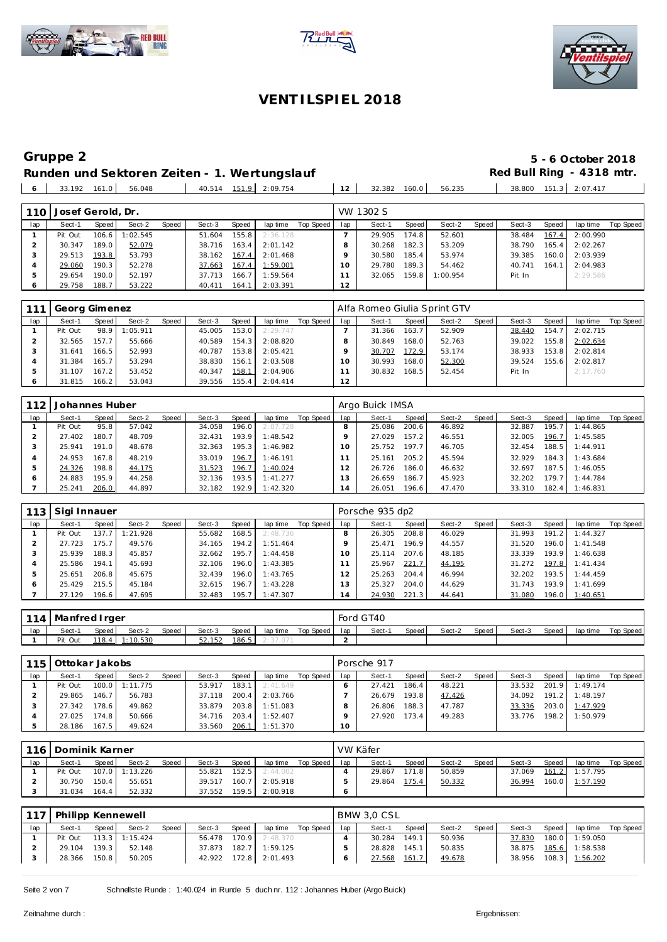





## **Runden und Sektoren Zeiten - 1. Wertungslauf Red Bull Ring - 4318 mtr.**<br>| 6 | 33.192 161.0 | 56.048 | 40.514 151.9 | 2:09.754 | 12 | 32.382 160.0 | 56.235 | 38.800 151.3 | 2:07.417

29.758 188.7 53.222 40.411 164.1 2:03.391 **12**

**Gruppe 2 5 - 6 October 2018**

| - 6              | 33.192            | 161.0 | 56.048   |       | 40.514 | 151.9 | 2:09.754 |           | 12  | 32.382    | 160.0 | 56.235   |       | 38.800 | $\mathbf{.3}$<br>151 | 2:07.417 |                  |
|------------------|-------------------|-------|----------|-------|--------|-------|----------|-----------|-----|-----------|-------|----------|-------|--------|----------------------|----------|------------------|
|                  |                   |       |          |       |        |       |          |           |     |           |       |          |       |        |                      |          |                  |
| 110 <sup>1</sup> | Josef Gerold, Dr. |       |          |       |        |       |          |           |     | VW 1302 S |       |          |       |        |                      |          |                  |
| lap              | Sect-1            | Speed | Sect-2   | Speed | Sect-3 | Speed | lap time | Top Speed | lap | Sect-1    | Speed | Sect-2   | Speed | Sect-3 | Speed                | lap time | <b>Top Speed</b> |
|                  | Pit Out           | 106.6 | : 02.545 |       | 51.604 | 155.8 | 2:36.128 |           |     | 29.905    | 174.8 | 52.601   |       | 38.484 | 167.4                | 2:00.990 |                  |
|                  | 30.347            | 189.0 | 52.079   |       | 38.716 | 163.4 | 2:01.142 |           | 8   | 30.268    | 182.3 | 53.209   |       | 38.790 | 165.4                | 2:02.267 |                  |
|                  | 29.513            | 193.8 | 53.793   |       | 38.162 | 167.4 | 2:01.468 |           |     | 30.580    | 185.4 | 53.974   |       | 39.385 | 160.0                | 2:03.939 |                  |
|                  | 29.060            | 190.3 | 52.278   |       | 37.663 | 167.4 | 1:59.001 |           | 10  | 29.780    | 189.3 | 54.462   |       | 40.741 | 164.1                | 2:04.983 |                  |
|                  | 29.654            | 190.0 | 52.197   |       | 37.713 | 166.7 | 1:59.564 |           |     | 32.065    | 159.8 | 1:00.954 |       | Pit In |                      | 2:29.586 |                  |

| 111     | Georg Gimenez |                    |          |       |        |       |          |           |          | Alfa Romeo Giulia Sprint GTV |        |        |       |        |       |          |           |
|---------|---------------|--------------------|----------|-------|--------|-------|----------|-----------|----------|------------------------------|--------|--------|-------|--------|-------|----------|-----------|
| lap     | Sect-1        | Speed              | Sect-2   | Speed | Sect-3 | Speed | lap time | Top Speed | lap      | Sect-1                       | Speed! | Sect-2 | Speed | Sect-3 | Speed | lap time | Top Speed |
|         | Pit Out       | 98.9               | 1:05.911 |       | 45.005 | 153.0 | 2:29.747 |           |          | 31.366                       | 163.7  | 52.909 |       | 38.440 | 154.7 | 2:02.715 |           |
|         | 32.565        | 157.7              | 55.666   |       | 40.589 | 154.3 | 2:08.820 |           |          | 30.849                       | 168.0  | 52.763 |       | 39.022 | 155.8 | 2:02.634 |           |
|         | 31.641        | 166.5              | 52.993   |       | 40.787 | 153.8 | 2:05.421 |           |          | 30.707                       | 172.9  | 53.174 |       | 38.933 | 153.8 | 2:02.814 |           |
|         | 31.384        | 165.7              | 53.294   |       | 38.830 | 156.1 | 2:03.508 |           | $\Omega$ | 30.993                       | 168.0  | 52.300 |       | 39.524 | 155.6 | 2:02.817 |           |
| 5       | 31.107        | 167.2 <sub>1</sub> | 53.452   |       | 40.347 | 158.1 | 2:04.906 |           |          | 30.832                       | 168.5  | 52.454 |       | Pit In |       | 2:17.760 |           |
| $\circ$ | 31.815        | 166.2              | 53.043   |       | 39.556 | 155.4 | 2:04.414 |           | 12       |                              |        |        |       |        |       |          |           |

| 112 | Johannes Huber |       |        |       |        |       |          |           |     | Argo Buick IMSA |       |        |       |        |       |          |           |
|-----|----------------|-------|--------|-------|--------|-------|----------|-----------|-----|-----------------|-------|--------|-------|--------|-------|----------|-----------|
| lap | Sect-1         | Speed | Sect-2 | Speed | Sect-3 | Speed | lap time | Top Speed | lap | Sect-1          | Speed | Sect-2 | Speed | Sect-3 | Speed | lap time | Top Speed |
|     | Pit Out        | 95.8  | 57.042 |       | 34.058 | 196.0 | 2:07.728 |           |     | 25.086          | 200.6 | 46.892 |       | 32.887 | 195.7 | 1:44.865 |           |
|     | 27.402         | 180.7 | 48.709 |       | 32.431 | 193.9 | 1:48.542 |           |     | 27.029          | 157.2 | 46.551 |       | 32.005 | 196.7 | 1:45.585 |           |
|     | 25.941         | 191.0 | 48.678 |       | 32.363 | 195.3 | 1:46.982 |           |     | 25.752          | 197.7 | 46.705 |       | 32.454 | 188.5 | 1:44.911 |           |
|     | 24.953         | 167.8 | 48.219 |       | 33.019 | 196.7 | 1:46.191 |           |     | 25.161          | 205.2 | 45.594 |       | 32.929 | 184.3 | 1:43.684 |           |
| 5   | 24.326         | 198.8 | 44.175 |       | 31.523 | 196.7 | 1:40.024 |           |     | 26.726          | 186.0 | 46.632 |       | 32.697 | 187.5 | 1:46.055 |           |
| O   | 24.883         | 195.9 | 44.258 |       | 32.136 | 193.5 | 1:41.277 |           |     | 26.659          | 186.7 | 45.923 |       | 32.202 | 179.7 | 1:44.784 |           |
|     | 25.241         | 206.0 | 44.897 |       | 32.182 | 192.9 | 1:42.320 |           | . 4 | 26.051          | 196.6 | 47.470 |       | 33.310 | 182.4 | 1:46.831 |           |

|     | Sigi Innauer |       |          |       |        |                    |          |           |          | Porsche 935 dp2 |       |        |       |        |       |           |           |
|-----|--------------|-------|----------|-------|--------|--------------------|----------|-----------|----------|-----------------|-------|--------|-------|--------|-------|-----------|-----------|
| lap | Sect-1       | Speed | Sect-2   | Speed | Sect-3 | Speed              | lap time | Top Speed | lap      | Sect-1          | Speed | Sect-2 | Speed | Sect-3 | Speed | lap time  | Top Speed |
|     | Pit Out      | 137.7 | 1:21.928 |       | 55.682 | 168.5              | 2:48.736 |           |          | 26.305          | 208.8 | 46.029 |       | 31.993 | 191.2 | 1:44.327  |           |
|     | 27.723       | 175.7 | 49.576   |       | 34.165 | 194.2              | 1:51.464 |           |          | 25.471          | 196.9 | 44.557 |       | 31.520 | 196.0 | 1:41.548  |           |
|     | 25.939       | 188.3 | 45.857   |       | 32.662 | 195.7 <sub>1</sub> | 1:44.458 |           | $\Omega$ | 25.114          | 207.6 | 48.185 |       | 33.339 | 193.9 | 1:46.638  |           |
|     | 25.586       | 194.1 | 45.693   |       | 32.106 | 196.0              | 1:43.385 |           |          | 25.967          | 221.7 | 44.195 |       | 31.272 | 197.8 | 1: 41.434 |           |
|     | 25.651       | 206.8 | 45.675   |       | 32.439 | 196.0              | 1:43.765 |           |          | 25.263          | 204.4 | 46.994 |       | 32.202 | 193.5 | 1:44.459  |           |
|     | 25.429       | 215.5 | 45.184   |       | 32.615 | 196.7              | 1:43.228 |           | 13       | 25.327          | 204.0 | 44.629 |       | 31.743 | 193.9 | 1:41.699  |           |
|     | 27.129       | 196.6 | 47.695   |       | 32.483 | 195.7              | 1:47.307 |           | 14       | 24.930          | 221.3 | 44.641 |       | 31.080 | 196.0 | 1:40.651  |           |

|     | 114   Manfred I rger |       |          |       |        |       |                |             |     | Ford GT40 |       |        |         |        |       |          |           |
|-----|----------------------|-------|----------|-------|--------|-------|----------------|-------------|-----|-----------|-------|--------|---------|--------|-------|----------|-----------|
| lap | Sect-1               | Speed | Sect-2   | Speed | Sect-3 | Speed | lap time       | Top Speed I | lap | Sect-1    | Speed | Sect-2 | Speed i | Sect-3 | Speed | lap time | Top Speed |
|     | Pit Out              | 118.4 | 1:10.530 |       | 52.152 | 186.5 | 4. J / . U / I |             |     |           |       |        |         |        |       |          |           |

| 115 | Ottokar Jakobs |       |                |       |        |       |          |           |     | Porsche 917 |       |        |       |        |       |                  |           |
|-----|----------------|-------|----------------|-------|--------|-------|----------|-----------|-----|-------------|-------|--------|-------|--------|-------|------------------|-----------|
| lap | Sect-1         | Speed | Sect-2         | Speed | Sect-3 | Speed | lap time | Top Speed | lap | Sect-1      | Speed | Sect-2 | Speed | Sect-3 | Speed | lap time         | Top Speed |
|     | Pit Out        |       | 100.0 1:11.775 |       | 53.917 | 183.1 | 2:41.649 |           |     | 27.421      | 186.4 | 48.221 |       | 33.532 |       | 201.9 1:49.174   |           |
|     | 29.865         | 146.7 | 56.783         |       | 37.118 | 200.4 | 2:03.766 |           |     | 26.679      | 193.8 | 47.426 |       | 34.092 |       | $191.2$ 1:48.197 |           |
|     | 27.342         | 178.6 | 49.862         |       | 33.879 | 203.8 | 1:51.083 |           |     | 26.806      | 188.3 | 47.787 |       | 33.336 |       | 203.0 1:47.929   |           |
|     | 27.025         | 174.8 | 50.666         |       | 34.716 | 203.4 | 1:52.407 |           |     | 27.920      | 173.4 | 49.283 |       | 33.776 |       | 198.2 1:50.979   |           |
|     | 28.186         | 167.5 | 49.624         |       | 33.560 | 206.1 | 1:51.370 |           | 10  |             |       |        |       |        |       |                  |           |

|     | 116 Dominik Karner |       |                |       |        |       |          |           |     | VW Käfer |       |        |       |        |       |                 |           |
|-----|--------------------|-------|----------------|-------|--------|-------|----------|-----------|-----|----------|-------|--------|-------|--------|-------|-----------------|-----------|
| lap | Sect-1             | Speed | Sect-2         | Speed | Sect-3 | Speed | lap time | Top Speed | lap | Sect-1   | Speed | Sect-2 | Speed | Sect-3 | Speed | lap time        | Top Speed |
|     | Pit Out            |       | 107.0 1:13.226 |       | 55.821 | 152.5 | 2:44.002 |           |     | 29.867   | 171.8 | 50.859 |       | 37.069 |       | 161.2 1:57.795  |           |
|     | 30.750             | 150.4 | 55.651         |       | 39.517 | 160.7 | 2:05.918 |           |     | 29.864   | 175.4 | 50.332 |       | 36.994 | 160.0 | <u>1:57.190</u> |           |
|     | 31.034             | 164.4 | 52.332         |       | 37.552 | 159.5 | 2:00.918 |           |     |          |       |        |       |        |       |                 |           |

| 117 | Philipp Kennewell |       |                  |              |              |       |                       |           |     | BMW 3.0 CSL |       |        |       |        |       |          |                                                    |
|-----|-------------------|-------|------------------|--------------|--------------|-------|-----------------------|-----------|-----|-------------|-------|--------|-------|--------|-------|----------|----------------------------------------------------|
| lap | Sect-1            | Speed | Sect-2           | <b>Speed</b> | Sect-3       | Speed | lap time              | Top Speed | lap | Sect-1      | Speed | Sect-2 | Speed | Sect-3 | Speed | lap time | Top Speed                                          |
|     | Pit Out           |       | $113.3$ 1:15.424 |              | 56.478 170.9 |       | 2:48.370              |           |     | 30.284      | 149.1 | 50.936 |       | 37.830 |       |          |                                                    |
|     | 29.104            | 139.3 | 52.148           |              | 37.873       | 182.7 | 1:59.125              |           |     | 28.828      | 145.1 | 50.835 |       | 38.875 |       |          |                                                    |
|     | 28.366            | 150.8 | 50.205           |              |              |       | 42.922 172.8 2:01.493 |           |     | 27.568      | 161.7 | 49.678 |       | 38.956 |       |          |                                                    |
|     |                   |       |                  |              |              |       |                       |           |     |             |       |        |       |        |       |          | 180.0 1:59.050<br>185.6 1:58.538<br>108.3 1:56.202 |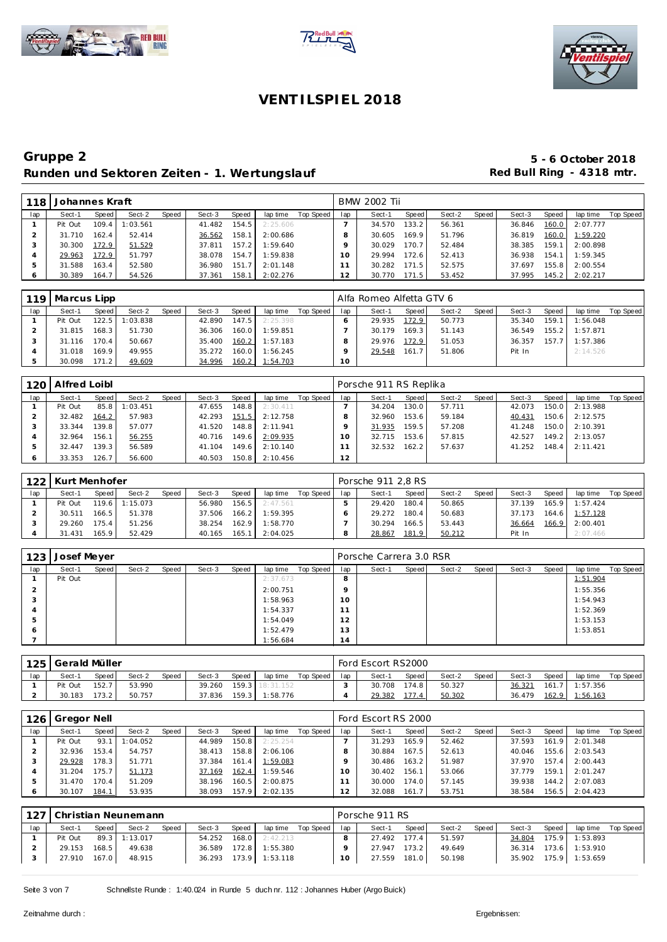





| 118 | Johannes Kraft |       |          |       |        |       |          |           |                | <b>BMW 2002 Tii</b> |       |        |       |        |       |          |           |
|-----|----------------|-------|----------|-------|--------|-------|----------|-----------|----------------|---------------------|-------|--------|-------|--------|-------|----------|-----------|
| lap | Sect-1         | Speed | Sect-2   | Speed | Sect-3 | Speed | lap time | Top Speed | lap            | Sect-1              | Speed | Sect-2 | Speed | Sect-3 | Speed | lap time | Top Speed |
|     | Pit Out        | 109.4 | : 03.561 |       | 41.482 | 154.5 | 2:25.606 |           |                | 34.570              | 133.2 | 56.361 |       | 36.846 | 160.0 | 2:07.777 |           |
|     | 31.710         | 162.4 | 52.414   |       | 36.562 | 158.1 | 2:00.686 |           |                | 30.605              | 169.9 | 51.796 |       | 36.819 | 160.0 | 1:59.220 |           |
|     | 30.300         | 172.9 | 51.529   |       | 37.811 | 157.2 | 1:59.640 |           |                | 30.029              | 170.7 | 52.484 |       | 38.385 | 159.1 | 2:00.898 |           |
|     | 29.963         | 172.9 | 51.797   |       | 38.078 | 154.7 | 1:59.838 |           |                | 29.994              | 172.6 | 52.413 |       | 36.938 | 154.1 | 1:59.345 |           |
|     | 31.588         | 163.4 | 52.580   |       | 36.980 | 151.7 | 2:01.148 |           |                | 30.282              | 171.5 | 52.575 |       | 37.697 | 155.8 | 2:00.554 |           |
|     | 30.389         | 164.7 | 54.526   |       | 37.361 | 158.1 | 2:02.276 |           | $\overline{2}$ | 30.770              | 171.5 | 53.452 |       | 37.995 | 145.2 | 2:02.217 |           |

| 119 | Marcus Lipp |       |         |       |        |       |          |           |     | Alfa Romeo Alfetta GTV 6 |        |        |       |        |       |                |           |
|-----|-------------|-------|---------|-------|--------|-------|----------|-----------|-----|--------------------------|--------|--------|-------|--------|-------|----------------|-----------|
| lap | Sect-1      | Speed | Sect-2  | Speed | Sect-3 | Speed | lap time | Top Speed | lap | Sect-1                   | Speed  | Sect-2 | Speed | Sect-3 | Speed | lap time       | Top Speed |
|     | Pit Out     | 122.5 | :03.838 |       | 42.890 | 147.5 | 2:25.398 |           |     | 29.935                   | 172.9  | 50.773 |       | 35.340 | 159.1 | 1:56.048       |           |
|     | 31.815      | 168.3 | 51.730  |       | 36.306 | 160.0 | 1:59.851 |           |     | 30.179                   | 169.31 | 51.143 |       | 36.549 |       | 155.2 1:57.871 |           |
|     | 31.116      | 170.4 | 50.667  |       | 35.400 | 160.2 | 1:57.183 |           |     | 29.976                   | 172.9  | 51.053 |       | 36.357 | 157.7 | 71:57.386      |           |
|     | 31.018      | 169.9 | 49.955  |       | 35.272 | 160.0 | 1:56.245 |           |     | 29.548                   | 161.7  | 51.806 |       | Pit In |       | 2:14.526       |           |
|     | 30.098      | 171.2 | 49.609  |       | 34.996 | 160.2 | 1:54.703 |           | 10  |                          |        |        |       |        |       |                |           |

| 120 | Alfred Loibl |       |          |       |        |       |          |           |     | Porsche 911 RS Replika |       |        |       |        |       |          |           |
|-----|--------------|-------|----------|-------|--------|-------|----------|-----------|-----|------------------------|-------|--------|-------|--------|-------|----------|-----------|
| lap | Sect-1       | Speed | Sect-2   | Speed | Sect-3 | Speed | lap time | Top Speed | lap | Sect-1                 | Speed | Sect-2 | Speed | Sect-3 | Speed | lap time | Top Speed |
|     | Pit Out      | 85.8  | 1:03.451 |       | 47.655 | 148.8 | 2:30.411 |           |     | 34.204                 | 130.0 | 57.711 |       | 42.073 | 150.0 | 2:13.988 |           |
|     | 32.482       | 164.2 | 57.983   |       | 42.293 | 151.5 | 2:12.758 |           |     | 32.960                 | 153.6 | 59.184 |       | 40.431 | 150.6 | 2:12.575 |           |
|     | 33.344       | 139.8 | 57.077   |       | 41.520 | 148.8 | 2:11.941 |           |     | 31.935                 | 159.5 | 57.208 |       | 41.248 | 150.0 | 2:10.391 |           |
|     | 32.964       | 156.1 | 56.255   |       | 40.716 | 149.6 | 2:09.935 |           |     | 32.715                 | 153.6 | 57.815 |       | 42.527 | 149.2 | 2:13.057 |           |
|     | 32.447       | 139.3 | 56.589   |       | 41.104 | 149.6 | 2:10.140 |           |     | 32.532                 | 162.2 | 57.637 |       | 41.252 | 148.4 | 2:11.421 |           |
|     | 33.353       | 126.7 | 56.600   |       | 40.503 | 150.8 | 2:10.456 |           | 12  |                        |       |        |       |        |       |          |           |

| 122 | Kurt Menhofer |       |                |              |        |         |          |           |     | Porsche 911 2.8 RS |       |        |       |        |       |                |           |
|-----|---------------|-------|----------------|--------------|--------|---------|----------|-----------|-----|--------------------|-------|--------|-------|--------|-------|----------------|-----------|
| lap | Sect-1        | Speed | Sect-2         | <b>Speed</b> | Sect-3 | Speed   | lap time | Top Speed | lap | Sect-1             | Speed | Sect-2 | Speed | Sect-3 | Speed | lap time       | Top Speed |
|     | Pit Out       |       | 119.6 1:15.073 |              | 56.980 | 156.5   | 2:47.561 |           |     | 29.420             | 180.4 | 50.865 |       | 37.139 |       | 165.9 1:57.424 |           |
|     | 30.511        | 166.5 | 51.378         |              | 37.506 | $166.2$ | 1:59.395 |           |     | 29.272             | 180.4 | 50.683 |       | 37.173 |       | 164.6 1:57.128 |           |
|     | 29.260        | 175.4 | 51.256         |              | 38.254 | 162.9   | 1:58.770 |           |     | 30.294             | 166.5 | 53.443 |       | 36.664 |       | 166.9 2:00.401 |           |
|     | 31.431        | 165.9 | 52.429         |              | 40.165 | 165.1   | 2:04.025 |           |     | 28.867             | 181.9 | 50.212 |       | Pit In |       | 2:07.466       |           |

| 123 | Josef Meyer |       |        |       |        |       |          |           |                      | Porsche Carrera 3.0 RSR |       |        |       |        |       |          |           |
|-----|-------------|-------|--------|-------|--------|-------|----------|-----------|----------------------|-------------------------|-------|--------|-------|--------|-------|----------|-----------|
| lap | Sect-1      | Speed | Sect-2 | Speed | Sect-3 | Speed | lap time | Top Speed | lap                  | Sect-1                  | Speed | Sect-2 | Speed | Sect-3 | Speed | lap time | Top Speed |
|     | Pit Out     |       |        |       |        |       | 2:37.673 |           | 8                    |                         |       |        |       |        |       | 1:51.904 |           |
|     |             |       |        |       |        |       | 2:00.751 |           |                      |                         |       |        |       |        |       | 1:55.356 |           |
| 3   |             |       |        |       |        |       | 1:58.963 |           | 10                   |                         |       |        |       |        |       | 1:54.943 |           |
| 4   |             |       |        |       |        |       | 1:54.337 |           | -                    |                         |       |        |       |        |       | 1:52.369 |           |
| 5   |             |       |        |       |        |       | 1:54.049 |           | 12                   |                         |       |        |       |        |       | 1:53.153 |           |
| O   |             |       |        |       |        |       | 1:52.479 |           | 13                   |                         |       |        |       |        |       | 1:53.851 |           |
|     |             |       |        |       |        |       | 1:56.684 |           | ×,<br>$\overline{4}$ |                         |       |        |       |        |       |          |           |

| 125 | Gerald Müller |                    |        |              |        |                    |                 |           |     | Ford Escort RS2000 |              |        |       |        |       |          |           |
|-----|---------------|--------------------|--------|--------------|--------|--------------------|-----------------|-----------|-----|--------------------|--------------|--------|-------|--------|-------|----------|-----------|
| lap | Sect-1        | Speed              | Sect-2 | <b>Speed</b> | Sect-3 | <b>Speed</b>       | lap time        | Top Speed | lap | Sect-1             | <b>Speed</b> | Sect-2 | Speed | Sect-3 | Speed | lap time | Top Speed |
|     | Pit Out       | 152.7 <sub>1</sub> | 53.990 |              | 39.260 |                    | 159.3 18:31.152 |           |     | 30.708             | 174.8        | 50.327 |       | 36.321 | 161.7 | 1:57.356 |           |
|     | 30.183        | 173.2              | 50.757 |              | 37.836 | 159.3 <sub>1</sub> | 1:58.776        |           |     | 29.382             | $\Delta$     | 50.302 |       | 36.479 | 162.9 | 1:56.163 |           |

| 126 | Gregor Nell |       |          |       |        |       |          |           |        | Ford Escort RS 2000 |       |        |       |        |       |          |           |
|-----|-------------|-------|----------|-------|--------|-------|----------|-----------|--------|---------------------|-------|--------|-------|--------|-------|----------|-----------|
| lap | Sect-1      | Speed | Sect-2   | Speed | Sect-3 | Speed | lap time | Top Speed | lap    | Sect-1              | Speed | Sect-2 | Speed | Sect-3 | Speed | lap time | Top Speed |
|     | Pit Out     | 93.1  | : 04.052 |       | 44.989 | 150.8 | 2:25.254 |           |        | 31.293              | 165.9 | 52.462 |       | 37.593 | 161.9 | 2:01.348 |           |
|     | 32.936      | 153.4 | 54.757   |       | 38.413 | 158.8 | 2:06.106 |           |        | 30.884              | 167.5 | 52.613 |       | 40.046 | 155.6 | 2:03.543 |           |
|     | 29.928      | 178.3 | 51.771   |       | 37.384 | 161.4 | 1:59.083 |           |        | 30.486              | 163.2 | 51.987 |       | 37.970 | 157.4 | 2:00.443 |           |
|     | 31.204      | 175.7 | 51.173   |       | 37.169 | 162.4 | 1:59.546 |           |        | 30.402              | 156.1 | 53.066 |       | 37.779 | 159.1 | 2:01.247 |           |
|     | 31.470      | 170.4 | 51.209   |       | 38.196 | 160.5 | 2:00.875 |           |        | 30.000              | 174.0 | 57.145 |       | 39.938 | 144.2 | 2:07.083 |           |
|     | 30.107      | 184.1 | 53.935   |       | 38.093 | 157.9 | 2:02.135 |           | $\sim$ | 32.088              | 161.  | 53.751 |       | 38.584 | 156.5 | 2:04.423 |           |

| 127 |         |       | Christian Neunemann |              |        |       |          |           |     | Porsche 911 RS |         |        |       |        |         |                |           |
|-----|---------|-------|---------------------|--------------|--------|-------|----------|-----------|-----|----------------|---------|--------|-------|--------|---------|----------------|-----------|
| lap | Sect-1  | Speed | Sect-2              | <b>Speed</b> | Sect-3 | Speed | lap time | Top Speed | lap | Sect-1         | Speed I | Sect-2 | Speed | Sect-3 | Speed   | lap time       | Top Speed |
|     | Pit Out | 89.3  | 1:13.017            |              | 54.252 | 168.0 | 2:42.213 |           |     | 27.492         | 177.4   | 51.597 |       | 34.804 | 175.9   | 1:53.893       |           |
|     | 29.153  | 168.5 | 49.638              |              | 36.589 | 172.8 | 1:55.380 |           |     | 27.947         | 173.2   | 49.649 |       | 36.314 | $173.6$ | 1:53.910       |           |
|     | 27.910  | 167.0 | 48.915              |              | 36.293 | 173.9 | 1:53.118 |           | 10  | 27.559         | 181.0   | 50.198 |       | 35.902 |         | 175.9 1:53.659 |           |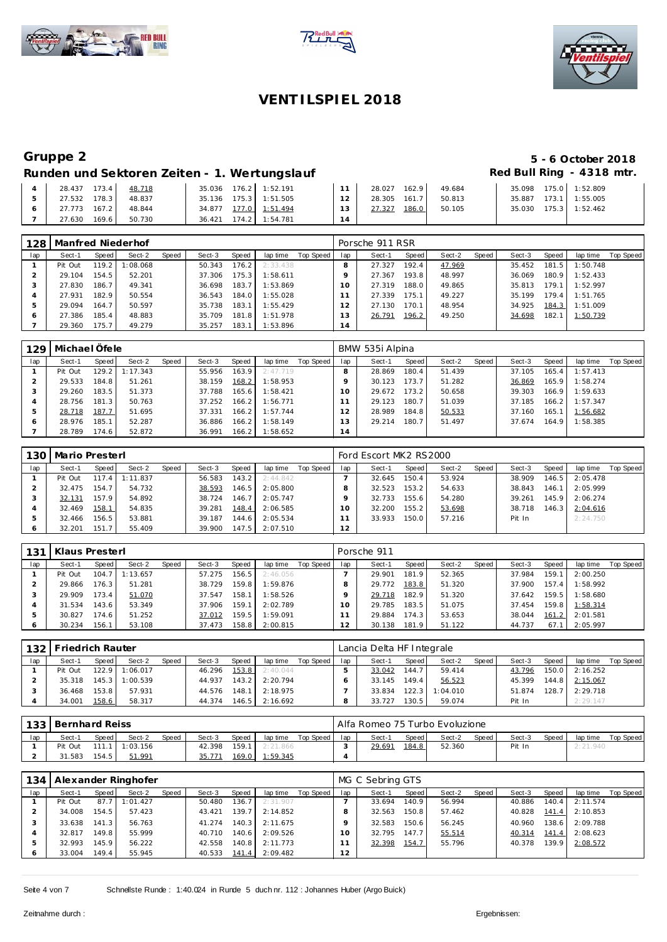





## Runden und Sektoren Zeiten - 1. Wertungslauf **Red Bull Ring - 4318 mtr.**

## **Gruppe 2 5 - 6 October 2018**

| 28.437<br>173.4<br>48.718 | 35.036 176.2 1:52.191    | 162.9<br>28.027       | 49.684 | 35.098              | 175.0 1:52.809 |
|---------------------------|--------------------------|-----------------------|--------|---------------------|----------------|
| 178.3<br>27.532<br>48.837 | 35.136 175.3 1:51.505    | 12<br>28.305 161.7    | 50.813 | 173.1<br>35.887     | 1:55.005       |
| 27.773 167.2<br>48.844    | 34.877 177.0 1:51.494    | 13<br>186.0<br>27.327 | 50.105 | $175.3$  <br>35.030 | 1:52.462       |
| 27.630<br>169.6<br>50.730 | 174.2 1:54.781<br>36.421 |                       |        |                     |                |

| 128 | Manfred Niederhof |       |          |       |        |       |          |           |                            | Porsche 911 RSR |       |        |       |        |       |          |           |
|-----|-------------------|-------|----------|-------|--------|-------|----------|-----------|----------------------------|-----------------|-------|--------|-------|--------|-------|----------|-----------|
| lap | Sect-1            | Speed | Sect-2   | Speed | Sect-3 | Speed | lap time | Top Speed | lap                        | Sect-1          | Speed | Sect-2 | Speed | Sect-3 | Speed | lap time | Top Speed |
|     | Pit Out           | 119.2 | 1:08.068 |       | 50.343 | 176.2 | 2:33.438 |           |                            | 27.327          | 192.4 | 47.969 |       | 35.452 | 181.5 | 1:50.748 |           |
|     | 29.104            | 154.5 | 52.201   |       | 37.306 | 175.3 | 1:58.611 |           |                            | 27.367          | 193.8 | 48.997 |       | 36.069 | 180.9 | 1:52.433 |           |
|     | 27.830            | 186.7 | 49.341   |       | 36.698 | 183.7 | 1:53.869 |           |                            | 27.319          | 188.0 | 49.865 |       | 35.813 | 179.1 | 1:52.997 |           |
|     | 27.931            | 182.9 | 50.554   |       | 36.543 | 184.0 | 1:55.028 |           |                            | 27.339          | 175.1 | 49.227 |       | 35.199 | 179.4 | 1:51.765 |           |
|     | 29.094            | 164.7 | 50.597   |       | 35.738 | 183.1 | 1:55.429 |           |                            | 27.130          | 170.1 | 48.954 |       | 34.925 | 184.3 | 1:51.009 |           |
| c   | 27.386            | 185.4 | 48.883   |       | 35.709 | 181.8 | 1:51.978 |           | 3                          | 26.791          | 196.2 | 49.250 |       | 34.698 | 182.1 | 1:50.739 |           |
|     | 29.360            | 175.7 | 49.279   |       | 35.257 | 183.1 | 1:53.896 |           | <b>A</b><br>$\overline{4}$ |                 |       |        |       |        |       |          |           |

| 129 | l Michael Öfele |         |                |       |        |       |          |           |          | BMW 535i Alpina |       |        |       |        |       |          |           |
|-----|-----------------|---------|----------------|-------|--------|-------|----------|-----------|----------|-----------------|-------|--------|-------|--------|-------|----------|-----------|
| lap | Sect-1          | Speed   | Sect-2         | Speed | Sect-3 | Speed | lap time | Top Speed | lap      | Sect-1          | Speed | Sect-2 | Speed | Sect-3 | Speed | lap time | Top Speed |
|     | Pit Out         |         | 129.2 1:17.343 |       | 55.956 | 163.9 | 2:47.719 |           |          | 28.869          | 180.4 | 51.439 |       | 37.105 | 165.4 | 1:57.413 |           |
|     | 29.533          | 184.8   | 51.261         |       | 38.159 | 168.2 | 1:58.953 |           |          | 30.123          | 173.7 | 51.282 |       | 36.869 | 165.9 | 1:58.274 |           |
|     | 29.260          | 183.5   | 51.373         |       | 37.788 | 165.6 | 1:58.421 |           | $10^{-}$ | 29.672          | 173.2 | 50.658 |       | 39.303 | 166.9 | 1:59.633 |           |
|     | 28.756          | 181.3   | 50.763         |       | 37.252 | 166.2 | 1:56.771 |           |          | 29.123          | 180.7 | 51.039 |       | 37.185 | 166.2 | 1:57.347 |           |
|     | 28.718          | 187.7   | 51.695         |       | 37.331 | 166.2 | 1:57.744 |           |          | 28.989          | 184.8 | 50.533 |       | 37.160 | 165.1 | 1:56.682 |           |
|     | 28.976          | 185.1   | 52.287         |       | 36.886 | 166.2 | 1:58.149 |           |          | 29.214          | 180.7 | 51.497 |       | 37.674 | 164.9 | 1:58.385 |           |
|     | 28.789          | 174.6 I | 52.872         |       | 36.991 | 166.2 | 1:58.652 |           | 14       |                 |       |        |       |        |       |          |           |

|     | 130   Mario Presterl |           |          |       |        |        |          |           |     | Ford Escort MK2 RS2000 |       |        |       |        |       |          |           |
|-----|----------------------|-----------|----------|-------|--------|--------|----------|-----------|-----|------------------------|-------|--------|-------|--------|-------|----------|-----------|
| lap | Sect-1               | Speed     | Sect-2   | Speed | Sect-3 | Speed  | lap time | Top Speed | lap | Sect-1                 | Speed | Sect-2 | Speed | Sect-3 | Speed | lap time | Top Speed |
|     | Pit Out              | $117.4$ I | 1:11.837 |       | 56.583 | 143.2  | 2:44.842 |           |     | 32.645                 | 150.4 | 53.924 |       | 38.909 | 146.5 | 2:05.478 |           |
|     | 32.475               | 154.7     | 54.732   |       | 38.593 | 146.5  | 2:05.800 |           |     | 32.523                 | 153.2 | 54.633 |       | 38.843 | 146.1 | 2:05.999 |           |
|     | 32.131               | 157.9     | 54.892   |       | 38.724 | 146.7  | 2:05.747 |           |     | 32.733                 | 155.6 | 54.280 |       | 39.261 | 145.9 | 2:06.274 |           |
|     | 32.469               | 158.1     | 54.835   |       | 39.281 | 148.4  | 2:06.585 |           | Ω   | 32.200                 | 155.2 | 53.698 |       | 38.718 | 146.3 | 2:04.616 |           |
|     | 32.466               | 156.5     | 53.881   |       | 39.187 | 144.61 | 2:05.534 |           |     | 33.933                 | 150.0 | 57.216 |       | Pit In |       | 2:24.750 |           |
|     | 32.201               | 151.7     | 55.409   |       | 39.900 | 147.5  | 2:07.510 |           | 12  |                        |       |        |       |        |       |          |           |

| 131 | Klaus Presterl |         |                  |       |        |        |          |           |               | Porsche 911 |                    |        |       |        |       |          |           |
|-----|----------------|---------|------------------|-------|--------|--------|----------|-----------|---------------|-------------|--------------------|--------|-------|--------|-------|----------|-----------|
| lap | Sect-1         | Speed   | Sect-2           | Speed | Sect-3 | Speed  | lap time | Top Speed | lap           | Sect-1      | Speed              | Sect-2 | Speed | Sect-3 | Speed | lap time | Top Speed |
|     | Pit Out        |         | $104.7$ 1:13.657 |       | 57.275 | 156.5  | 2:46.056 |           |               | 29.901      | 181.9              | 52.365 |       | 37.984 | 159.1 | 2:00.250 |           |
|     | 29.866         | 176.3   | 51.281           |       | 38.729 | 159.81 | 1:59.876 |           |               | 29.772      | 183.8              | 51.320 |       | 37.900 | 157.4 | 1:58.992 |           |
|     | 29.909         | 173.4 I | 51.070           |       | 37.547 | 158.1  | 1:58.526 |           |               | 29.718      | 182.9              | 51.320 |       | 37.642 | 159.5 | 1:58.680 |           |
|     | 31.534         | 143.6   | 53.349           |       | 37.906 | 159.1  | 2:02.789 |           |               | 29.785      | 183.5              | 51.075 |       | 37.454 | 159.8 | 1:58.314 |           |
|     | 30.827         | 174.6   | 51.252           |       | 37.012 | 159.5  | 1:59.091 |           |               | 29.884      | 174.3 <sub>1</sub> | 53.653 |       | 38.044 | 161.2 | 2:01.581 |           |
|     | 30.234         | 156.1   | 53.108           |       | 37.473 | 158.8  | 2:00.815 |           | $\mathcal{L}$ | 30.138      | 181.9              | 51.122 |       | 44.737 | 67.7  | 2:05.997 |           |

|     | 132 Friedrich Rauter |         |                |              |        |       |          |           |     | Lancia Delta HF Integrale |         |          |         |        |       |          |           |
|-----|----------------------|---------|----------------|--------------|--------|-------|----------|-----------|-----|---------------------------|---------|----------|---------|--------|-------|----------|-----------|
| lap | Sect-1               | Speed I | Sect-2         | <b>Speed</b> | Sect-3 | Speed | lap time | Top Speed | lap | Sect-1                    | Speed I | Sect-2   | Speed I | Sect-3 | Speed | lap time | Top Speed |
|     | Pit Out              |         | 122.9 1:06.017 |              | 46.296 | 153.8 | 2:40.044 |           |     | 33.042                    | 144.7   | 59.414   |         | 43.796 | 150.0 | 2:16.252 |           |
|     | 35.318               |         | 145.3 1:00.539 |              | 44.937 | 143.2 | 2:20.794 |           |     | 33.145                    | 149.4   | 56.523   |         | 45.399 | 144.8 | 2:15.067 |           |
|     | 36.468               | 153.8   | 57.931         |              | 44.576 | 148.1 | 2:18.975 |           |     | 33.834                    | 122.3   | 1:04.010 |         | 51.874 | 128.7 | 2:29.718 |           |
|     | 34.001               | 158.6   | 58.317         |              | 44.374 | 146.5 | 2:16.692 |           |     | 33.727                    | 130.5   | 59.074   |         | Pit In |       | 2:29.147 |           |

|     | 133 Bernhard Reiss |        |          |       |        |       |          |           |     | i Alfa Romeo 75 Turbo Evoluzione |       |        |       |        |              |          |           |
|-----|--------------------|--------|----------|-------|--------|-------|----------|-----------|-----|----------------------------------|-------|--------|-------|--------|--------------|----------|-----------|
| lap | Sect-1             | Speed  | Sect-2   | Speed | Sect-3 | Speed | lap time | Top Speed | lap | Sect-1                           | Speed | Sect-2 | Speed | Sect-3 | <b>Speed</b> | lap time | Top Speed |
|     | Pit Out            |        | : 03.156 |       | 42.398 | 159.1 | 2:21.866 |           |     | 29.691                           | 184.8 | 52.360 |       | Pit In |              | 2:21.940 |           |
|     | 31.583             | 154.51 | 51.991   |       |        | 169.0 | 1:59.345 |           |     |                                  |       |        |       |        |              |          |           |

| 134 |         |       | Alexander Ringhofer |       |        |       |          |           |     | MG C Sebring GTS |       |        |       |        |       |          |           |
|-----|---------|-------|---------------------|-------|--------|-------|----------|-----------|-----|------------------|-------|--------|-------|--------|-------|----------|-----------|
| lap | Sect-1  | Speed | Sect-2              | Speed | Sect-3 | Speed | lap time | Top Speed | lap | Sect-1           | Speed | Sect-2 | Speed | Sect-3 | Speed | lap time | Top Speed |
|     | Pit Out | 87.7  | 1:01.427            |       | 50.480 | 136.7 | 2:31.907 |           |     | 33.694           | 140.9 | 56.994 |       | 40.886 | 140.4 | 2:11.574 |           |
|     | 34.008  | 154.5 | 57.423              |       | 43.421 | 139.7 | 2:14.852 |           |     | 32.563           | 150.8 | 57.462 |       | 40.828 | 141.4 | 2:10.853 |           |
|     | 33.638  | 141.3 | 56.763              |       | 41.274 | 140.3 | 2:11.675 |           |     | 32.583           | 150.6 | 56.245 |       | 40.960 | 138.6 | 2:09.788 |           |
|     | 32.817  | 149.8 | 55.999              |       | 40.710 | 140.6 | 2:09.526 |           |     | 32.795           | 147.7 | 55.514 |       | 40.314 | 141.4 | 2:08.623 |           |
|     | 32.993  | 145.9 | 56.222              |       | 42.558 | 140.8 | 2:11.773 |           |     | 32.398           | 154.7 | 55.796 |       | 40.378 | 139.9 | 2:08.572 |           |
|     | 33.004  | 149.4 | 55.945              |       | 40.533 | 141.4 | 2:09.482 |           | 2   |                  |       |        |       |        |       |          |           |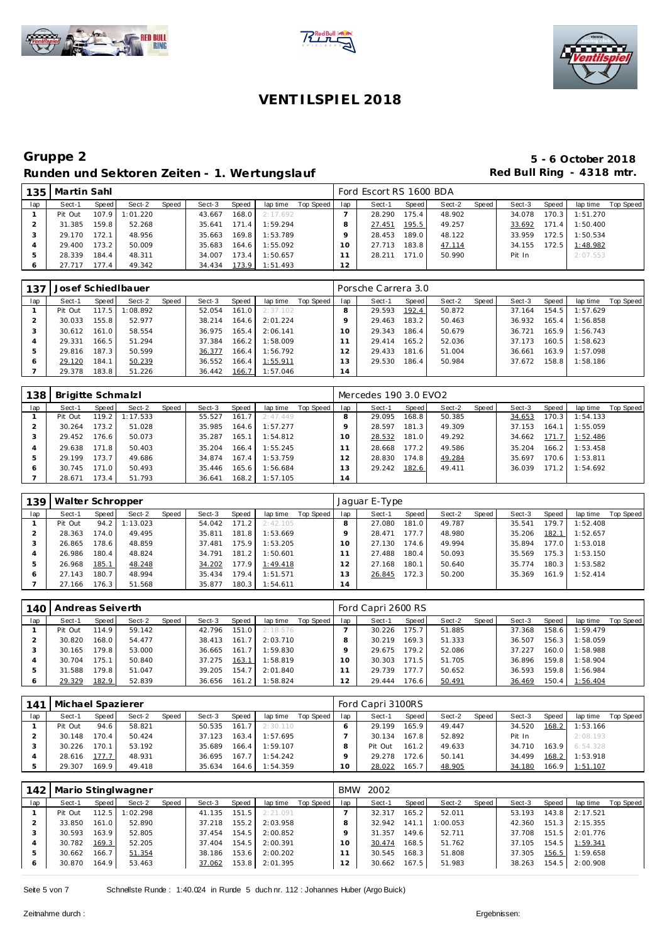





| 135 | Martin Sahl |         |          |       |        |       |          |           |     | Ford Escort RS 1600 BDA |       |        |       |        |       |          |           |
|-----|-------------|---------|----------|-------|--------|-------|----------|-----------|-----|-------------------------|-------|--------|-------|--------|-------|----------|-----------|
| lap | Sect-1      | Speed   | Sect-2   | Speed | Sect-3 | Speed | lap time | Top Speed | lap | Sect-1                  | Speed | Sect-2 | Speed | Sect-3 | Speed | lap time | Top Speed |
|     | Pit Out     | 107.9   | 1:01.220 |       | 43.667 | 168.0 | 2:17.692 |           |     | 28.290                  | 175.4 | 48.902 |       | 34.078 | 170.3 | 1:51.270 |           |
|     | 31.385      | 159.8   | 52.268   |       | 35.641 | 171.4 | 1:59.294 |           |     | 27.451                  | 195.5 | 49.257 |       | 33.692 | 171.4 | 1:50.400 |           |
|     | 29.170      | 172.1   | 48.956   |       | 35.663 | 169.8 | 1:53.789 |           |     | 28.453                  | 189.0 | 48.122 |       | 33.959 | 172.5 | 1:50.534 |           |
|     | 29.400      | 173.2 I | 50.009   |       | 35.683 | 164.6 | 1:55.092 |           | Ω   | 27.713                  | 183.8 | 47.114 |       | 34.155 | 172.5 | 1:48.982 |           |
|     | 28.339      | 184.4   | 48.311   |       | 34.007 | 173.4 | 1:50.657 |           |     | 28.211                  | 171.0 | 50.990 |       | Pit In |       | 2:07.553 |           |
|     | 27.717      | 177.4   | 49.342   |       | 34.434 | 173.9 | 1:51.493 |           | 12  |                         |       |        |       |        |       |          |           |

| 137     |         |       | Josef Schied Ibauer |       |        |       |          |           |                | Porsche Carrera 3.0 |       |        |       |        |       |          |           |
|---------|---------|-------|---------------------|-------|--------|-------|----------|-----------|----------------|---------------------|-------|--------|-------|--------|-------|----------|-----------|
| lap     | Sect-1  | Speed | Sect-2              | Speed | Sect-3 | Speed | lap time | Top Speed | lap            | Sect-1              | Speed | Sect-2 | Speed | Sect-3 | Speed | lap time | Top Speed |
|         | Pit Out | 117.5 | 1:08.892            |       | 52.054 | 161.0 | 2:37.102 |           | 8              | 29.593              | 192.4 | 50.872 |       | 37.164 | 154.5 | 1:57.629 |           |
|         | 30.033  | 155.8 | 52.977              |       | 38.214 | 164.6 | 2:01.224 |           |                | 29.463              | 183.2 | 50.463 |       | 36.932 | 165.4 | 1:56.858 |           |
|         | 30.612  | 161.0 | 58.554              |       | 36.975 | 165.4 | 2:06.141 |           | 10             | 29.343              | 186.4 | 50.679 |       | 36.721 | 165.9 | 1:56.743 |           |
|         | 29.331  | 166.5 | 51.294              |       | 37.384 | 166.2 | 1:58.009 |           |                | 29.414              | 165.2 | 52.036 |       | 37.173 | 160.5 | 1:58.623 |           |
|         | 29.816  | 187.3 | 50.599              |       | 36.377 | 166.4 | 1:56.792 |           |                | 29.433              | 181.6 | 51.004 |       | 36.661 | 163.9 | 1:57.098 |           |
| $\circ$ | 29.120  | 184.1 | 50.239              |       | 36.552 | 166.4 | 1:55.911 |           | 3              | 29.530              | 186.4 | 50.984 |       | 37.672 | 158.8 | 1:58.186 |           |
|         | 29.378  | 183.8 | 51.226              |       | 36.442 | 166.7 | 1:57.046 |           | $\overline{4}$ |                     |       |        |       |        |       |          |           |

| 138 | Brigitte Schmalzl |         |          |       |        |                    |          |           |          | Mercedes 190 3.0 EVO2 |       |        |       |        |       |          |           |
|-----|-------------------|---------|----------|-------|--------|--------------------|----------|-----------|----------|-----------------------|-------|--------|-------|--------|-------|----------|-----------|
| lap | Sect-1            | Speed   | Sect-2   | Speed | Sect-3 | Speed              | lap time | Top Speed | lap      | Sect-1                | Speed | Sect-2 | Speed | Sect-3 | Speed | lap time | Top Speed |
|     | Pit Out           | 119.2   | 1:17.533 |       | 55.527 | 161.7 <sub>1</sub> | 2:47.449 |           |          | 29.095                | 168.8 | 50.385 |       | 34.653 | 170.3 | 1:54.133 |           |
|     | 30.264            | 173.2   | 51.028   |       | 35.985 | 164.6              | 1:57.277 |           |          | 28.597                | 181.3 | 49.309 |       | 37.153 | 164.1 | 1:55.059 |           |
|     | 29.452            | 176.6   | 50.073   |       | 35.287 | 165.1              | 1:54.812 |           | $\Omega$ | 28.532                | 181.0 | 49.292 |       | 34.662 | 171.7 | 1:52.486 |           |
|     | 29.638            | 171.8   | 50.403   |       | 35.204 | 166.4              | 1:55.245 |           |          | 28.668                | 177.2 | 49.586 |       | 35.204 | 166.2 | 1:53.458 |           |
|     | 29.199            | 173.7   | 49.686   |       | 34.874 | 167.4              | 1:53.759 |           |          | 28.830                | 174.8 | 49.284 |       | 35.697 | 170.6 | 1:53.811 |           |
|     | 30.745            | 171.O I | 50.493   |       | 35.446 | 165.6              | 1:56.684 |           | 13       | 29.242                | 182.6 | 49.411 |       | 36.039 | 171.2 | 1:54.692 |           |
|     | 28.671            | 173.4   | 51.793   |       | 36.641 | 168.2              | 1:57.105 |           | 14       |                       |       |        |       |        |       |          |           |

| 139 | Walter Schropper |       |          |       |        |       |                |           |     | Jaquar E-Type |       |        |       |        |       |          |           |
|-----|------------------|-------|----------|-------|--------|-------|----------------|-----------|-----|---------------|-------|--------|-------|--------|-------|----------|-----------|
| lap | Sect-1           | Speed | Sect-2   | Speed | Sect-3 | Speed | lap time       | Top Speed | lap | Sect-1        | Speed | Sect-2 | Speed | Sect-3 | Speed | lap time | Top Speed |
|     | Pit Out          | 94.2  | 1:13.023 |       | 54.042 | 171.2 | 2:42.105       |           |     | 27.080        | 181.0 | 49.787 |       | 35.541 | 179.7 | 1:52.408 |           |
|     | 28.363           | 174.0 | 49.495   |       | 35.811 | 181.8 | 1:53.669       |           |     | 28.471        | 177.7 | 48.980 |       | 35.206 | 182.1 | 1:52.657 |           |
|     | 26.865           | 178.6 | 48.859   |       | 37.481 | 175.9 | 1:53.205       |           |     | 27.130        | 174.6 | 49.994 |       | 35.894 | 177.0 | 1:53.018 |           |
|     | 26.986           | 180.4 | 48.824   |       | 34.791 | 181.2 | 1:50.601       |           |     | 27.488        | 180.4 | 50.093 |       | 35.569 | 175.3 | 1:53.150 |           |
|     | 26.968           | 185.1 | 48.248   |       | 34.202 | 177.9 | 1:49.418       |           |     | 27.168        | 180.1 | 50.640 |       | 35.774 | 180.3 | 1:53.582 |           |
|     | 27.143           | 180.7 | 48.994   |       | 35.434 | 179.4 | 1:51.571       |           | 3   | 26.845        | 172.3 | 50.200 |       | 35.369 | 161.9 | 1:52.414 |           |
|     | 27.166           | 176.3 | 51.568   |       | 35.877 |       | 180.3 1:54.611 |           | 14  |               |       |        |       |        |       |          |           |

| 140 <sub>1</sub> | Andreas Seiverth |       |        |       |        |       |          |           |     | Ford Capri 2600 RS |       |        |       |        |       |          |           |
|------------------|------------------|-------|--------|-------|--------|-------|----------|-----------|-----|--------------------|-------|--------|-------|--------|-------|----------|-----------|
| lap              | Sect-1           | Speed | Sect-2 | Speed | Sect-3 | Speed | lap time | Top Speed | lap | Sect-1             | Speed | Sect-2 | Speed | Sect-3 | Speed | lap time | Top Speed |
|                  | Pit Out          | 114.9 | 59.142 |       | 42.796 | 151.0 | 2:18.576 |           |     | 30.226             | 175.7 | 51.885 |       | 37.368 | 158.6 | 1:59.479 |           |
|                  | 30.820           | 168.0 | 54.477 |       | 38.413 | 161.7 | 2:03.710 |           |     | 30.219             | 169.3 | 51.333 |       | 36.507 | 156.3 | 1:58.059 |           |
|                  | 30.165           | 179.8 | 53.000 |       | 36.665 | 161.7 | 1:59.830 |           |     | 29.675             | 179.2 | 52.086 |       | 37.227 | 160.0 | 1:58.988 |           |
|                  | 30.704           | 175.1 | 50.840 |       | 37.275 | 163.1 | 1:58.819 |           |     | 30.303             | 171.5 | 51.705 |       | 36.896 | 159.8 | 1:58.904 |           |
|                  | 31.588           | 179.8 | 51.047 |       | 39.205 | 154.7 | 2:01.840 |           |     | 29.739             | 177.7 | 50.652 |       | 36.593 | 159.8 | 1:56.984 |           |
|                  | 29.329           | 182.9 | 52.839 |       | 36.656 | 161.2 | 1:58.824 |           |     | 29.444             | 176.6 | 50.491 |       | 36.469 | 150.4 | 1:56.404 |           |

| 141 | Michael Spazierer |         |        |       |        |       |                |           |     | Ford Capri 3100RS |       |        |       |        |       |          |           |
|-----|-------------------|---------|--------|-------|--------|-------|----------------|-----------|-----|-------------------|-------|--------|-------|--------|-------|----------|-----------|
| lap | Sect-1            | Speed I | Sect-2 | Speed | Sect-3 | Speed | lap time       | Top Speed | lap | Sect-1            | Speed | Sect-2 | Speed | Sect-3 | Speed | lap time | Top Speed |
|     | Pit Out           | 94.6    | 58.821 |       | 50.535 | 161.7 | 2:30.110       |           |     | 29.199            | 165.9 | 49.447 |       | 34.520 | 168.2 | 1:53.166 |           |
|     | 30.148            | 170.4   | 50.424 |       | 37.123 | 163.4 | 1:57.695       |           |     | 30.134            | 167.8 | 52.892 |       | Pit In |       | 2:08.193 |           |
|     | 30.226            | 170.1   | 53.192 |       | 35.689 | 166.4 | 1:59.107       |           |     | Pit Out           | 161.2 | 49.633 |       | 34.710 | 163.9 | 6:54.328 |           |
|     | 28.616            | 177.7   | 48.931 |       | 36.695 | 167.7 | 1:54.242       |           |     | 29.278            | 172.6 | 50.141 |       | 34.499 | 168.2 | 1:53.918 |           |
|     | 29.307            | 169.9   | 49.418 |       | 35.634 |       | 164.6 1:54.359 |           |     | 28.022            | 165.7 | 48.905 |       | 34.180 | 166.9 | 1:51.107 |           |

| 142 |         |       | Mario Stinglwagner |       |        |       |          |           | BMW            | 2002   |                    |          |       |        |       |          |           |
|-----|---------|-------|--------------------|-------|--------|-------|----------|-----------|----------------|--------|--------------------|----------|-------|--------|-------|----------|-----------|
| lap | Sect-1  | Speed | Sect-2             | Speed | Sect-3 | Speed | lap time | Top Speed | lap            | Sect-1 | Speed              | Sect-2   | Speed | Sect-3 | Speed | lap time | Top Speed |
|     | Pit Out | 112.5 | 1:02.298           |       | 41.135 | 151.5 | 2:21.091 |           |                | 32.317 | 165.2 <sub>1</sub> | 52.011   |       | 53.193 | 143.8 | 2:17.521 |           |
|     | 33.850  | 161.0 | 52.890             |       | 37.218 | 155.2 | 2:03.958 |           |                | 32.942 | 141.               | 1:00.053 |       | 42.360 | 151.3 | 2:15.355 |           |
|     | 30.593  | 163.9 | 52.805             |       | 37.454 | 154.5 | 2:00.852 |           |                | 31.357 | 149.61             | 52.711   |       | 37.708 | 151.5 | 2:01.776 |           |
|     | 30.782  | 169.3 | 52.205             |       | 37.404 | 154.5 | 2:00.391 |           |                | 30.474 | 168.5              | 51.762   |       | 37.105 | 154.5 | 1:59.341 |           |
|     | 30.662  | 166.7 | 51.354             |       | 38.186 | 153.6 | 2:00.202 |           |                | 30.545 | 168.3              | 51.808   |       | 37.305 | 156.5 | 1:59.658 |           |
|     | 30.870  | 164.9 | 53.463             |       | 37.062 | 153.8 | 2:01.395 |           | $\overline{2}$ | 30.662 | 167.5              | 51.983   |       | 38.263 | 154.5 | 2:00.908 |           |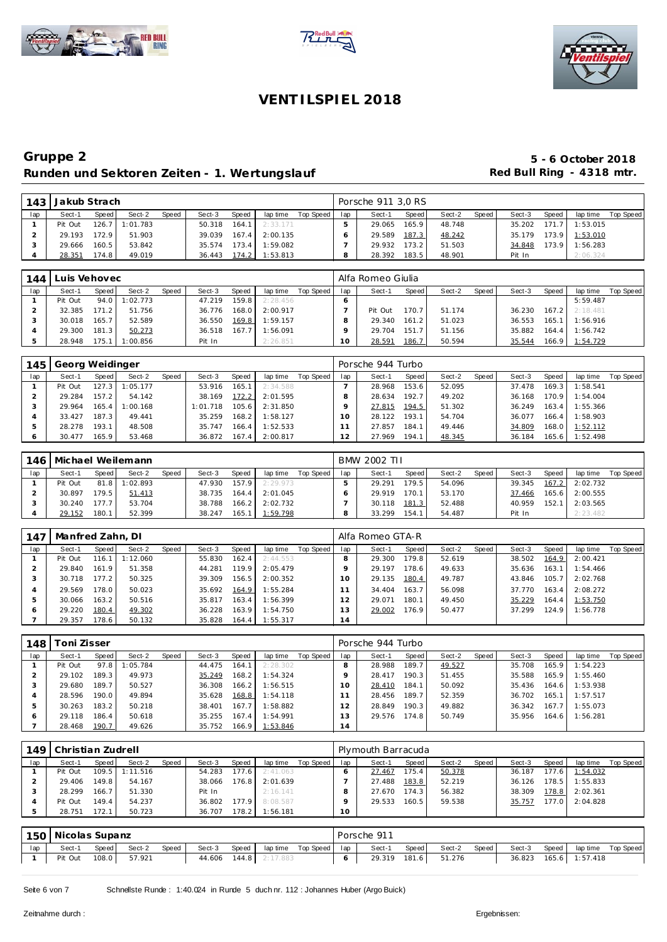





|     | 143 Jakub Strach |       |                  |       |        |                    |          |             |     | Porsche 911 3,0 RS |        |        |        |        |       |          |           |
|-----|------------------|-------|------------------|-------|--------|--------------------|----------|-------------|-----|--------------------|--------|--------|--------|--------|-------|----------|-----------|
| lap | Sect-1           | Speed | Sect-2           | Speed | Sect-3 | Speed              | lap time | Top Speed I | lap | Sect-1             | Speed  | Sect-2 | Speed, | Sect-3 | Speed | lap time | Top Speed |
|     | Pit Out          |       | $126.7$ 1:01.783 |       | 50.318 | 164.1              | 2:33.171 |             |     | 29.065             | 165.91 | 48.748 |        | 35.202 | 171.7 | 1:53.015 |           |
|     | 29.193           | 172.9 | 51.903           |       | 39.039 | 167.4              | 2:00.135 |             |     | 29.589             | 187.3  | 48.242 |        | 35.179 | 173.9 | 1:53.010 |           |
|     | 29.666           | 160.5 | 53.842           |       | 35.574 | 173.4 <sub>1</sub> | 1:59.082 |             |     | 29.932             | 173.2  | 51.503 |        | 34.848 | 173.9 | 1:56.283 |           |
|     | 28.351           | 174.8 | 49.019           |       | 36.443 | 174.2              | 1:53.813 |             |     | 28.392             | 183.5  | 48.901 |        | Pit In |       | 2:06.324 |           |

| 144 | Luis Vehovec |       |         |       |        |       |          |           |     | Alfa Romeo Giulia |       |        |       |        |       |                |           |
|-----|--------------|-------|---------|-------|--------|-------|----------|-----------|-----|-------------------|-------|--------|-------|--------|-------|----------------|-----------|
| lap | Sect-1       | Speed | Sect-2  | Speed | Sect-3 | Speed | lap time | Top Speed | lap | Sect-1            | Speed | Sect-2 | Speed | Sect-3 | Speed | lap time       | Top Speed |
|     | Pit Out      | 94.0  | :02.773 |       | 47.219 | 159.8 | 2:28.456 |           |     |                   |       |        |       |        |       | 5:59.487       |           |
|     | 32.385       | 171.2 | 51.756  |       | 36.776 | 168.0 | 2:00.917 |           |     | Pit Out           | 170.7 | 51.174 |       | 36.230 |       | 167.2 2:18.481 |           |
|     | 30.018       | 165.7 | 52.589  |       | 36.550 | 169.8 | 1:59.157 |           |     | 29.340            | 161.2 | 51.023 |       | 36.553 | 165.1 | 1:56.916       |           |
|     | 29.300       | 181.3 | 50.273  |       | 36.518 | 167.7 | 1:56.091 |           |     | 29.704            | 151.7 | 51.156 |       | 35.882 |       | 164.4 1:56.742 |           |
|     | 28.948       | 175.1 | :00.856 |       | Pit In |       | 2:26.851 |           | 10  | 28.591            | 186.7 | 50.594 |       | 35.544 |       | 166.9 1:54.729 |           |

| 145 | Georg Weidinger |       |         |       |          |                    |          |           |          | Porsche 944 Turbo |              |        |       |        |       |          |           |
|-----|-----------------|-------|---------|-------|----------|--------------------|----------|-----------|----------|-------------------|--------------|--------|-------|--------|-------|----------|-----------|
| lap | Sect-1          | Speed | Sect-2  | Speed | Sect-3   | Speed              | lap time | Top Speed | lap      | Sect-1            | <b>Speed</b> | Sect-2 | Speed | Sect-3 | Speed | lap time | Top Speed |
|     | Pit Out         | 127.3 | :05.177 |       | 53.916   | 165                | 2:34.588 |           |          | 28.968            | 153.6        | 52.095 |       | 37.478 | 169.3 | 1:58.541 |           |
|     | 29.284          | 157.2 | 54.142  |       | 38.169   | 172.2              | 2:01.595 |           |          | 28.634            | 192.7        | 49.202 |       | 36.168 | 170.9 | 1:54.004 |           |
|     | 29.964          | 165.4 | :00.168 |       | 1:01.718 | 105.6              | 2:31.850 |           |          | 27.815            | 194.5        | 51.302 |       | 36.249 | 163.4 | 1:55.366 |           |
|     | 33.427          | 187.3 | 49.441  |       | 35.259   | 168.2              | 1:58.127 |           | $\Omega$ | 28.122            | 193.1        | 54.704 |       | 36.077 | 166.4 | 1:58.903 |           |
|     | 28.278          | 193.1 | 48.508  |       | 35.747   | 166.4              | 1:52.533 |           |          | 27.857            | 184.1        | 49.446 |       | 34.809 | 168.0 | 1:52.112 |           |
|     | 30.477          | 165.9 | 53.468  |       | 36.872   | 167.4 <sub>1</sub> | 2:00.817 |           | 2        | 27.969            | 194.1        | 48.345 |       | 36.184 | 165.6 | 1:52.498 |           |

| 146. |         |       | Michael Weilemann |       |        |       |          |           |     | BMW 2002 TII |       |        |         |        |       |                  |           |
|------|---------|-------|-------------------|-------|--------|-------|----------|-----------|-----|--------------|-------|--------|---------|--------|-------|------------------|-----------|
| lap  | Sect-1  | Speed | Sect-2            | Speed | Sect-3 | Speed | lap time | Top Speed | lap | Sect-1       | Speed | Sect-2 | Speed I | Sect-3 | Speed | lap time         | Top Speed |
|      | Pit Out |       | 81.8 1:02.893     |       | 47.930 | 157.9 | 2:29.973 |           |     | 29.291       | 179.5 | 54.096 |         | 39.345 |       | $167.2$ 2:02.732 |           |
|      | 30.897  | 179.5 | 51.413            |       | 38.735 | 164.4 | 2:01.045 |           |     | 29.919       | 170.1 | 53.170 |         | 37.466 |       | 165.6 2:00.555   |           |
|      | 30.240  | 177.7 | 53.704            |       | 38.788 | 166.2 | 2:02.732 |           |     | 30.118       | 181.3 | 52.488 |         | 40.959 | 152.1 | 2:03.565         |           |
|      | 29.152  | 180.1 | 52.399            |       | 38.247 | 165.1 | 1:59.798 |           |     | 33.299       | 154.1 | 54.487 |         | Pit In |       | 2:23.482         |           |

| 147 | Manfred Zahn, DI |       |         |       |        |       |          |           |                | Alfa Romeo GTA-R |       |        |       |        |       |          |           |
|-----|------------------|-------|---------|-------|--------|-------|----------|-----------|----------------|------------------|-------|--------|-------|--------|-------|----------|-----------|
| lap | Sect-1           | Speed | Sect-2  | Speed | Sect-3 | Speed | lap time | Top Speed | lap            | Sect-1           | Speed | Sect-2 | Speed | Sect-3 | Speed | lap time | Top Speed |
|     | Pit Out          | 116.1 | :12.060 |       | 55.830 | 162.4 | 2:44.553 |           |                | 29.300           | 179.8 | 52.619 |       | 38.502 | 164.9 | 2:00.421 |           |
|     | 29.840           | 161.9 | 51.358  |       | 44.281 | 119.9 | 2:05.479 |           |                | 29.197           | 178.6 | 49.633 |       | 35.636 | 163.1 | 1:54.466 |           |
|     | 30.718           | 177.2 | 50.325  |       | 39.309 | 156.5 | 2:00.352 |           | 0              | 29.135           | 180.4 | 49.787 |       | 43.846 | 105.7 | 2:02.768 |           |
|     | 29.569           | 178.0 | 50.023  |       | 35.692 | 164.9 | 1:55.284 |           |                | 34.404           | 163.7 | 56.098 |       | 37.770 | 163.4 | 2:08.272 |           |
|     | 30.066           | 163.2 | 50.516  |       | 35.817 | 163.4 | 1:56.399 |           |                | 29.071           | 180.1 | 49.450 |       | 35.229 | 164.4 | 1:53.750 |           |
| 6   | 29.220           | 180.4 | 49.302  |       | 36.228 | 163.9 | 1:54.750 |           | 3              | 29.002           | 176.9 | 50.477 |       | 37.299 | 124.9 | 1:56.778 |           |
|     | 29.357           | 178.6 | 50.132  |       | 35.828 | 164.4 | 1:55.317 |           | $\overline{4}$ |                  |       |        |       |        |       |          |           |

| 148 | oni Zisser |       |           |       |        |       |          |           |     | Porsche 944 Turbo |       |        |       |        |       |          |           |
|-----|------------|-------|-----------|-------|--------|-------|----------|-----------|-----|-------------------|-------|--------|-------|--------|-------|----------|-----------|
| lap | Sect-1     | Speed | Sect-2    | Speed | Sect-3 | Speed | lap time | Top Speed | lap | Sect-1            | Speed | Sect-2 | Speed | Sect-3 | Speed | lap time | Top Speed |
|     | Pit Out    | 97.8  | l: 05.784 |       | 44.475 | 164.1 | 2:28.302 |           |     | 28.988            | 189.7 | 49.527 |       | 35.708 | 165.9 | : 54.223 |           |
|     | 29.102     | 189.3 | 49.973    |       | 35.249 | 168.2 | 1:54.324 |           |     | 28.417            | 190.3 | 51.455 |       | 35.588 | 165.9 | 1:55.460 |           |
|     | 29.680     | 189.7 | 50.527    |       | 36.308 | 166.2 | 1:56.515 |           |     | 28.410            | 184.1 | 50.092 |       | 35.436 | 164.6 | 1:53.938 |           |
|     | 28.596     | 190.0 | 49.894    |       | 35.628 | 168.8 | 1:54.118 |           |     | 28.456            | 189.7 | 52.359 |       | 36.702 | 165.1 | 1:57.517 |           |
|     | 30.263     | 183.2 | 50.218    |       | 38.401 | 167.7 | :58.882  |           | 2   | 28.849            | 190.3 | 49.882 |       | 36.342 | 167.7 | : 55.073 |           |
|     | 29.118     | 186.4 | 50.618    |       | 35.255 | 167.4 | 1:54.991 |           | 3   | 29.576            | 174.8 | 50.749 |       | 35.956 | 164.6 | 1:56.281 |           |
|     | 28.468     | 190.7 | 49.626    |       | 35.752 | 166.9 | 1:53.846 |           | 14  |                   |       |        |       |        |       |          |           |

| 149 | Christian Zudrell |        |                |       |        |       |          |           |     | Plymouth Barracuda |       |        |       |        |       |          |           |
|-----|-------------------|--------|----------------|-------|--------|-------|----------|-----------|-----|--------------------|-------|--------|-------|--------|-------|----------|-----------|
| lap | Sect-1            | Speed  | Sect-2         | Speed | Sect-3 | Speed | lap time | Top Speed | lap | Sect-1             | Speed | Sect-2 | Speed | Sect-3 | Speed | lap time | Top Speed |
|     | Pit Out           |        | 109.5 1:11.516 |       | 54.283 | 177.6 | 2:41.063 |           |     | 27.467             | 175.4 | 50.378 |       | 36.187 | 177.6 | 1:54.032 |           |
|     | 29.406            | 149.81 | 54.167         |       | 38.066 | 176.8 | 2:01.639 |           |     | 27.488             | 183.8 | 52.219 |       | 36.126 | 178.5 | 1:55.833 |           |
|     | 28.299            | 166.7  | 51.330         |       | Pit In |       | 2:16.141 |           |     | 27.670             | 174.3 | 56.382 |       | 38.309 | 178.8 | 2:02.361 |           |
|     | Pit Out           | 149.4  | 54.237         |       | 36.802 | 177.9 | 8:08.587 |           |     | 29.533             | 160.5 | 59.538 |       | 35.757 | 177.0 | 2:04.828 |           |
|     | 28.751            | 172.1  | 50.723         |       | 36.707 | 178.2 | 1:56.181 |           | 10  |                    |       |        |       |        |       |          |           |

|     | 150   Nicolas Supanz |       |        |       |        |       |                          |  | Porsche 911  |       |        |       |        |       |                    |  |
|-----|----------------------|-------|--------|-------|--------|-------|--------------------------|--|--------------|-------|--------|-------|--------|-------|--------------------|--|
| lap | Sect-1               | Speed | Sect-2 | Speed | Sect-3 | Speed | lap time Top Speed   lap |  | Sect-1 Speed |       | Sect-2 | Speed | Sect-3 | Speed | lap time Top Speed |  |
|     | Pit Out              | 108.0 | 57.921 |       |        |       | 44.606 144.8 2:17.883    |  | 29.319       | 181.6 | 51.276 |       | 36.823 |       | 165.6 1:57.418     |  |